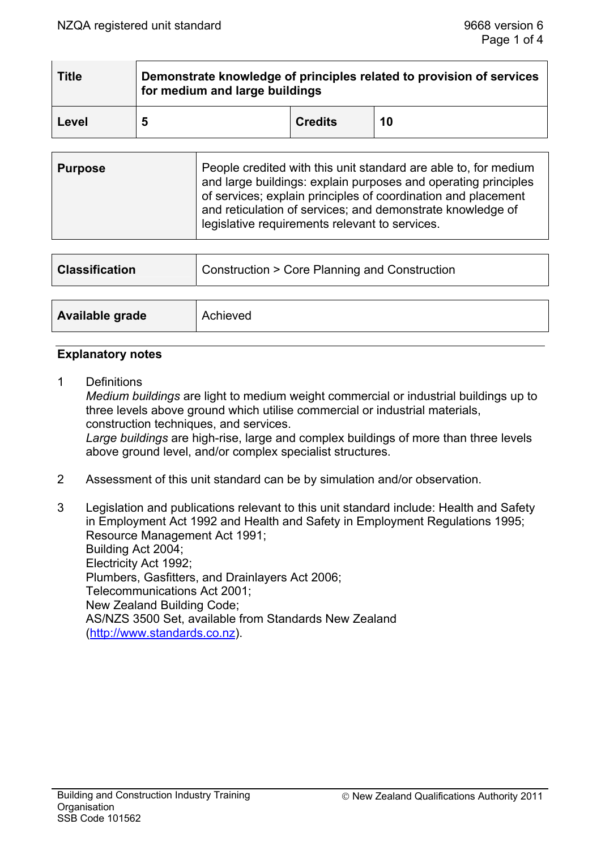| <b>Title</b> | Demonstrate knowledge of principles related to provision of services<br>for medium and large buildings |                |    |  |  |
|--------------|--------------------------------------------------------------------------------------------------------|----------------|----|--|--|
| Level        | 5                                                                                                      | <b>Credits</b> | 10 |  |  |

| <b>Purpose</b> | People credited with this unit standard are able to, for medium<br>and large buildings: explain purposes and operating principles<br>of services; explain principles of coordination and placement<br>and reticulation of services; and demonstrate knowledge of<br>legislative requirements relevant to services. |
|----------------|--------------------------------------------------------------------------------------------------------------------------------------------------------------------------------------------------------------------------------------------------------------------------------------------------------------------|
|----------------|--------------------------------------------------------------------------------------------------------------------------------------------------------------------------------------------------------------------------------------------------------------------------------------------------------------------|

| <b>Classification</b> | <b>Construction &gt; Core Planning and Construction</b> |  |
|-----------------------|---------------------------------------------------------|--|
|                       |                                                         |  |
| Available grade       | Achieved                                                |  |

#### **Explanatory notes**

1 Definitions

 *Medium buildings* are light to medium weight commercial or industrial buildings up to three levels above ground which utilise commercial or industrial materials, construction techniques, and services.  *Large buildings* are high-rise, large and complex buildings of more than three levels above ground level, and/or complex specialist structures.

- 2 Assessment of this unit standard can be by simulation and/or observation.
- 3 Legislation and publications relevant to this unit standard include: Health and Safety in Employment Act 1992 and Health and Safety in Employment Regulations 1995; Resource Management Act 1991; Building Act 2004; Electricity Act 1992; Plumbers, Gasfitters, and Drainlayers Act 2006; Telecommunications Act 2001; New Zealand Building Code; AS/NZS 3500 Set, available from Standards New Zealand (http://www.standards.co.nz).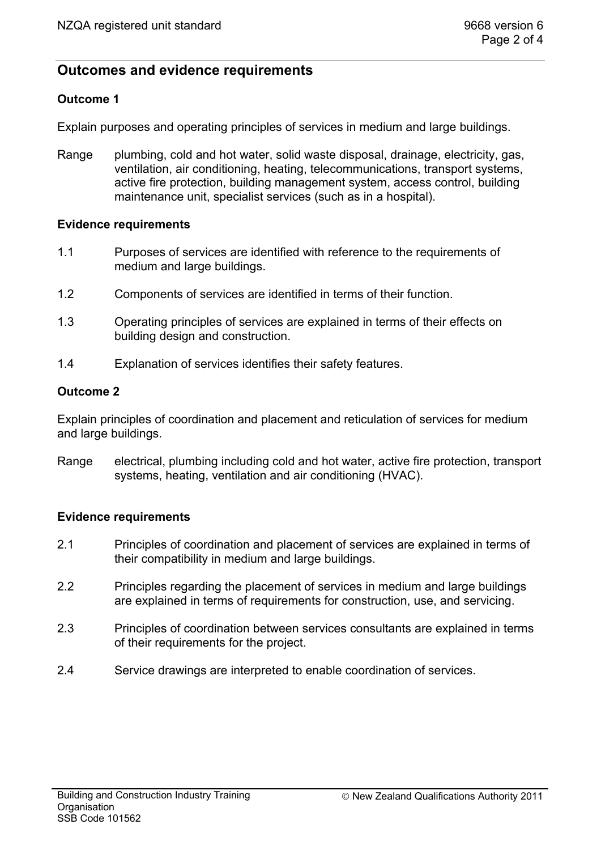# **Outcomes and evidence requirements**

## **Outcome 1**

Explain purposes and operating principles of services in medium and large buildings.

Range plumbing, cold and hot water, solid waste disposal, drainage, electricity, gas, ventilation, air conditioning, heating, telecommunications, transport systems, active fire protection, building management system, access control, building maintenance unit, specialist services (such as in a hospital).

### **Evidence requirements**

- 1.1 Purposes of services are identified with reference to the requirements of medium and large buildings.
- 1.2 Components of services are identified in terms of their function.
- 1.3 Operating principles of services are explained in terms of their effects on building design and construction.
- 1.4 Explanation of services identifies their safety features.

### **Outcome 2**

Explain principles of coordination and placement and reticulation of services for medium and large buildings.

Range electrical, plumbing including cold and hot water, active fire protection, transport systems, heating, ventilation and air conditioning (HVAC).

### **Evidence requirements**

- 2.1 Principles of coordination and placement of services are explained in terms of their compatibility in medium and large buildings.
- 2.2 Principles regarding the placement of services in medium and large buildings are explained in terms of requirements for construction, use, and servicing.
- 2.3 Principles of coordination between services consultants are explained in terms of their requirements for the project.
- 2.4 Service drawings are interpreted to enable coordination of services.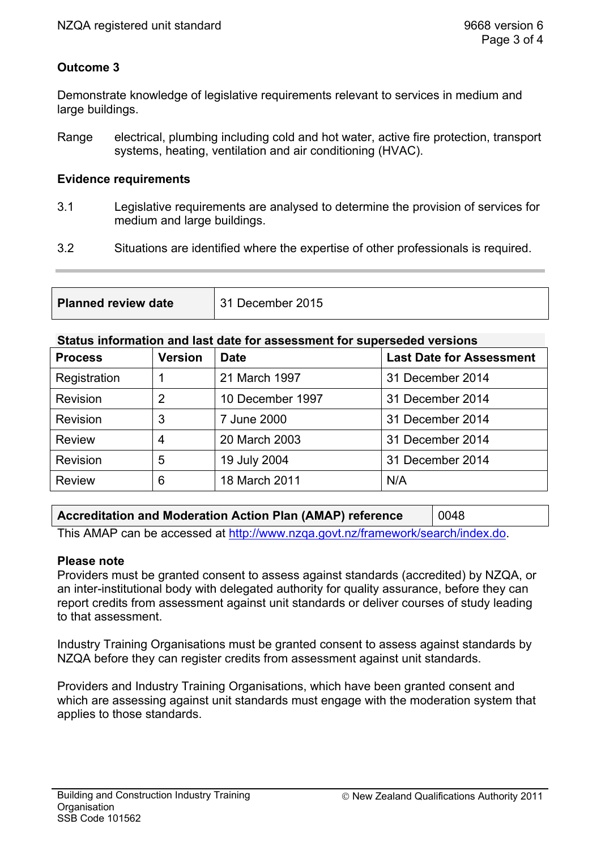## **Outcome 3**

Demonstrate knowledge of legislative requirements relevant to services in medium and large buildings.

Range electrical, plumbing including cold and hot water, active fire protection, transport systems, heating, ventilation and air conditioning (HVAC).

#### **Evidence requirements**

- 3.1 Legislative requirements are analysed to determine the provision of services for medium and large buildings.
- 3.2 Situations are identified where the expertise of other professionals is required.

| <b>Planned review date</b> | 31 December 2015 |
|----------------------------|------------------|
|                            |                  |

#### **Status information and last date for assessment for superseded versions**

| <b>Process</b> | <b>Version</b> | <b>Date</b>      | <b>Last Date for Assessment</b> |
|----------------|----------------|------------------|---------------------------------|
| Registration   |                | 21 March 1997    | 31 December 2014                |
| Revision       | $\overline{2}$ | 10 December 1997 | 31 December 2014                |
| Revision       | 3              | 7 June 2000      | 31 December 2014                |
| <b>Review</b>  | 4              | 20 March 2003    | 31 December 2014                |
| Revision       | 5              | 19 July 2004     | 31 December 2014                |
| <b>Review</b>  | 6              | 18 March 2011    | N/A                             |

# **Accreditation and Moderation Action Plan (AMAP) reference** 0048

This AMAP can be accessed at http://www.nzqa.govt.nz/framework/search/index.do.

### **Please note**

Providers must be granted consent to assess against standards (accredited) by NZQA, or an inter-institutional body with delegated authority for quality assurance, before they can report credits from assessment against unit standards or deliver courses of study leading to that assessment.

Industry Training Organisations must be granted consent to assess against standards by NZQA before they can register credits from assessment against unit standards.

Providers and Industry Training Organisations, which have been granted consent and which are assessing against unit standards must engage with the moderation system that applies to those standards.